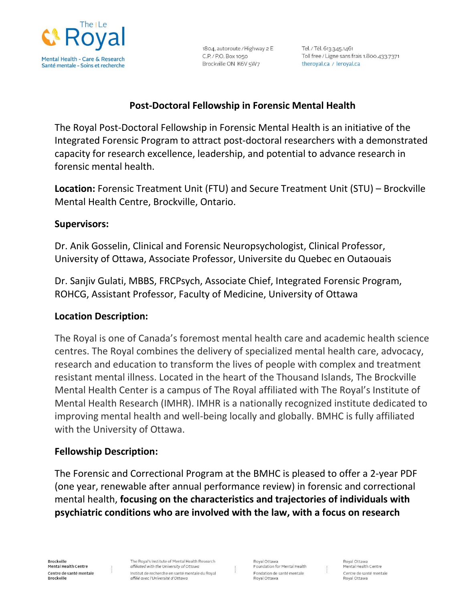

1804, autoroute / Highway 2 E C.P. / P.O. Box 1050 Brockville ON K6V 5W7

Tel. / Tél. 613.345.1461 Toll free / Ligne sans frais 1.800.433.7371 theroyal.ca / leroyal.ca

### **Post-Doctoral Fellowship in Forensic Mental Health**

The Royal Post-Doctoral Fellowship in Forensic Mental Health is an initiative of the Integrated Forensic Program to attract post-doctoral researchers with a demonstrated capacity for research excellence, leadership, and potential to advance research in forensic mental health.

**Location:** Forensic Treatment Unit (FTU) and Secure Treatment Unit (STU) – Brockville Mental Health Centre, Brockville, Ontario.

#### **Supervisors:**

Dr. Anik Gosselin, Clinical and Forensic Neuropsychologist, Clinical Professor, University of Ottawa, Associate Professor, Universite du Quebec en Outaouais

Dr. Sanjiv Gulati, MBBS, FRCPsych, Associate Chief, Integrated Forensic Program, ROHCG, Assistant Professor, Faculty of Medicine, University of Ottawa

### **Location Description:**

The Royal is one of Canada's foremost mental health care and academic health science centres. The Royal combines the delivery of specialized mental health care, advocacy, research and education to transform the lives of people with complex and treatment resistant mental illness. Located in the heart of the Thousand Islands, The Brockville Mental Health Center is a campus of The Royal affiliated with The Royal's Institute of Mental Health Research (IMHR). IMHR is a nationally recognized institute dedicated to improving mental health and well-being locally and globally. BMHC is fully affiliated with the University of Ottawa.

### **Fellowship Description:**

The Forensic and Correctional Program at the BMHC is pleased to offer a 2-year PDF (one year, renewable after annual performance review) in forensic and correctional mental health, **focusing on the characteristics and trajectories of individuals with psychiatric conditions who are involved with the law, with a focus on research** 

**Brockville** Mental Health Centre Centre de santé mentale **Brockville** 

The Royal's Institute of Mental Health Research affiliated with the University of Ottawa Institut de recherche en santé mentale du Royal affilié avec l'Université d'Ottawa

Royal Ottawa Foundation for Mental Health Fondation de santé mentale Royal Ottawa

Royal Ottawa Mental Health Centre Centre de santé mentale Royal Ottawa